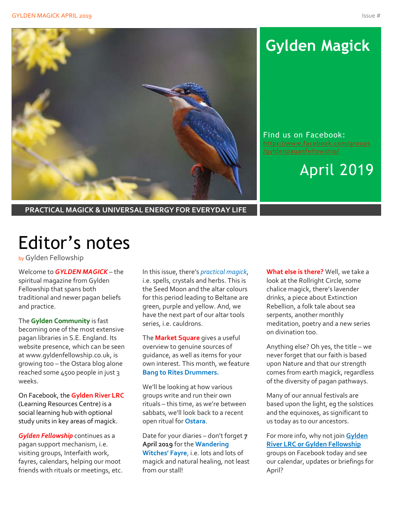

# **Gylden Magick**

Find us on Facebook: [https://www.facebook.com/groups](https://www.facebook.com/groups/gyldenpaganfellowship/) [/gyldenpaganfellowship/](https://www.facebook.com/groups/gyldenpaganfellowship/)

April 2019

**PRACTICAL MAGICK & UNIVERSAL ENERGY FOR EVERYDAY LIFE**

# Editor's notes

by Gylden Fellowship

Welcome to *GYLDEN MAGICK* – the spiritual magazine from Gylden Fellowship that spans both traditional and newer pagan beliefs and practice.

The **Gylden Community** is fast becoming one of the most extensive pagan libraries in S.E. England. Its website presence, which can be seen at www.gyldenfellowship.co.uk, is growing too – the Ostara blog alone reached some 4500 people in just 3 weeks.

On Facebook, the **Gylden River LRC** (Learning Resources Centre) is a social learning hub with optional study units in key areas of magick.

*Gylden Fellowship* continues as a pagan support mechanism, i.e. visiting groups, Interfaith work, fayres, calendars, helping our moot friends with rituals or meetings, etc.

In this issue, there's *practical magick*, i.e. spells, crystals and herbs. This is the Seed Moon and the altar colours for this period leading to Beltane are green, purple and yellow. And, we have the next part of our altar tools series, i.e. cauldrons.

The **Market Square** gives a useful overview to genuine sources of guidance, as well as items for your own interest. This month, we feature **Bang to Rites Drummers.**

We'll be looking at how various groups write and run their own rituals – this time, as we're between sabbats, we'll look back to a recent open ritual for **Ostara**.

Date for your diaries – don't forget **7 April 2019** for the **Wandering Witches' Fayre**, i.e. lots and lots of magick and natural healing, not least from our stall!

**What else is there?** Well, we take a look at the Rollright Circle, some chalice magick, there's lavender drinks, a piece about Extinction Rebellion, a folk tale about sea serpents, another monthly meditation, poetry and a new series on divination too.

Anything else? Oh yes, the title – we never forget that our faith is based upon Nature and that our strength comes from earth magick, regardless of the diversity of pagan pathways.

Many of our annual festivals are based upon the light, eg the solstices and the equinoxes, as significant to us today as to our ancestors.

For more info, why not join **Gylden River LRC or Gylden Fellowship** groups on Facebook today and see our calendar, updates or briefings for April?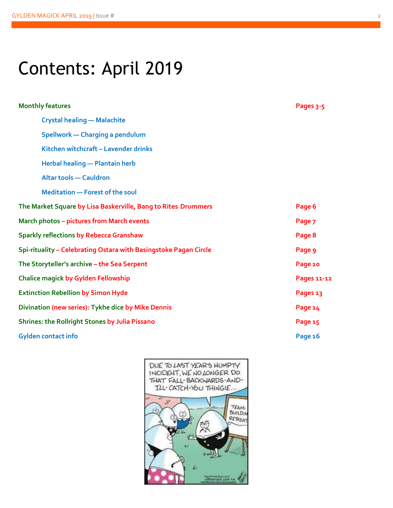# Contents: April 2019

| <b>Monthly features</b>                                          | Pages 3-5   |
|------------------------------------------------------------------|-------------|
| <b>Crystal healing - Malachite</b>                               |             |
| Spellwork - Charging a pendulum                                  |             |
| Kitchen witchcraft - Lavender drinks                             |             |
| <b>Herbal healing - Plantain herb</b>                            |             |
| <b>Altar tools - Cauldron</b>                                    |             |
| <b>Meditation - Forest of the soul</b>                           |             |
| The Market Square by Lisa Baskerville, Bang to Rites Drummers    | Page 6      |
| <b>March photos - pictures from March events</b>                 | Page 7      |
| <b>Sparkly reflections by Rebecca Granshaw</b>                   | Page 8      |
| Spi-rituality - Celebrating Ostara with Basingstoke Pagan Circle | Page 9      |
| The Storyteller's archive - the Sea Serpent                      | Page 10     |
| <b>Chalice magick by Gylden Fellowship</b>                       | Pages 11-12 |
| <b>Extinction Rebellion by Simon Hyde</b>                        | Pages 13    |
| Divination (new series): Tykhe dice by Mike Dennis               | Page 14     |
| <b>Shrines: the Rollright Stones by Julia Pissano</b>            | Page 15     |
| <b>Gylden contact info</b>                                       | Page 16     |
|                                                                  |             |

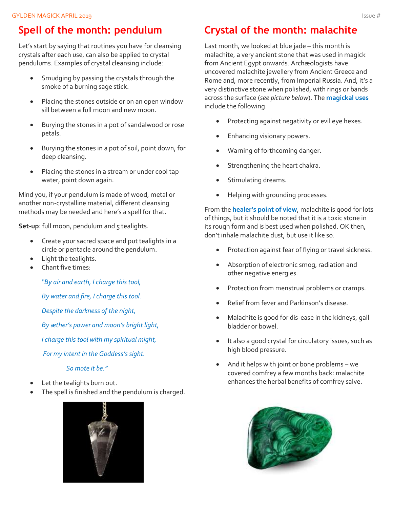### **Spell of the month: pendulum**

Let's start by saying that routines you have for cleansing crystals after each use, can also be applied to crystal pendulums. Examples of crystal cleansing include:

- Smudging by passing the crystals through the smoke of a burning sage stick.
- Placing the stones outside or on an open window sill between a full moon and new moon.
- Burying the stones in a pot of sandalwood or rose petals.
- Burying the stones in a pot of soil, point down, for deep cleansing.
- Placing the stones in a stream or under cool tap water, point down again.

Mind you, if your pendulum is made of wood, metal or another non-crystalline material, different cleansing methods may be needed and here's a spell for that.

**Set-up**: full moon, pendulum and 5 tealights.

- Create your sacred space and put tealights in a circle or pentacle around the pendulum.
- Light the tealights.
- Chant five times:

*"By air and earth, I charge this tool,*

*By water and fire, I charge this tool.*

*Despite the darkness of the night,*

*By æther's power and moon's bright light,*

*I charge this tool with my spiritual might,*

*For my intent in the Goddess's sight.*

*So mote it be."*

- Let the tealights burn out.
- The spell is finished and the pendulum is charged.



### **Crystal of the month: malachite**

Last month, we looked at blue jade – this month is malachite, a very ancient stone that was used in magick from Ancient Egypt onwards. Archæologists have uncovered malachite jewellery from Ancient Greece and Rome and, more recently, from Imperial Russia. And, it's a very distinctive stone when polished, with rings or bands across the surface (*see picture below*). The **magickal uses** include the following.

- Protecting against negativity or evil eye hexes.
- Enhancing visionary powers.
- Warning of forthcoming danger.
- Strengthening the heart chakra.
- Stimulating dreams.
- Helping with grounding processes.

From the **healer's point of view**, malachite is good for lots of things, but it should be noted that it is a toxic stone in its rough form and is best used when polished. OK then, don't inhale malachite dust, but use it like so.

- Protection against fear of flying or travel sickness.
- Absorption of electronic smog, radiation and other negative energies.
- Protection from menstrual problems or cramps.
- Relief from fever and Parkinson's disease.
- Malachite is good for dis-ease in the kidneys, gall bladder or bowel.
- It also a good crystal for circulatory issues, such as high blood pressure.
- And it helps with joint or bone problems we covered comfrey a few months back: malachite enhances the herbal benefits of comfrey salve.

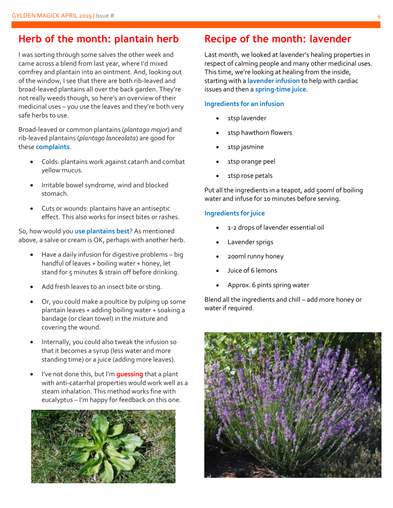### **Herb of the month: plantain herb**

I was sorting through some salves the other week and came across a blend from last year, where I'd mixed comfrey and plantain into an ointment. And, looking out of the window, I see that there are both rib-leaved and broad-leaved plantains all over the back garden. They're not really weeds though, so here's an overview of their medicinal uses – you use the leaves and they're both very safe herbs to use.

Broad-leaved or common plantains (*plantago major*) and rib-leaved plantains (*plantago lanceolata*) are good for these **complaints**.

- Colds: plantains work against catarrh and combat yellow mucus.
- Irritable bowel syndrome, wind and blocked stomach.
- Cuts or wounds: plantains have an antiseptic effect. This also works for insect bites or rashes.

So, how would you **use plantains best**? As mentioned above, a salve or cream is OK, perhaps with another herb.

- Have a daily infusion for digestive problems big handful of leaves + boiling water + honey, let stand for 5 minutes & strain off before drinking.
- Add fresh leaves to an insect bite or sting.
- Or, you could make a poultice by pulping up some plantain leaves + adding boiling water + soaking a bandage (or clean towel) in the mixture and covering the wound.
- Internally, you could also tweak the infusion so that it becomes a syrup (less water and more standing time) or a juice (adding more leaves).
- I've not done this, but I'm **guessing** that a plant with anti-catarrhal properties would work well as a steam inhalation. This method works fine with eucalyptus – I'm happy for feedback on this one.



### **Recipe of the month: lavender**

Last month, we looked at lavender's healing properties in respect of calming people and many other medicinal uses. This time, we're looking at healing from the inside, starting with a **lavender infusion** to help with cardiac issues and then a **spring-time juice**.

#### **Ingredients for an infusion**

- 1tsp lavender
- 1tsp hawthorn flowers
- 1tsp jasmine
- 1tsp orange peel
- 1tsp rose petals

Put all the ingredients in a teapot, add 500ml of boiling water and infuse for 10 minutes before serving.

#### **Ingredients for juice**

- 1-2 drops of lavender essential oil
- Lavender sprigs
- 200ml runny honey
- Juice of 6 lemons
- Approx. 6 pints spring water

Blend all the ingredients and chill – add more honey or water if required.

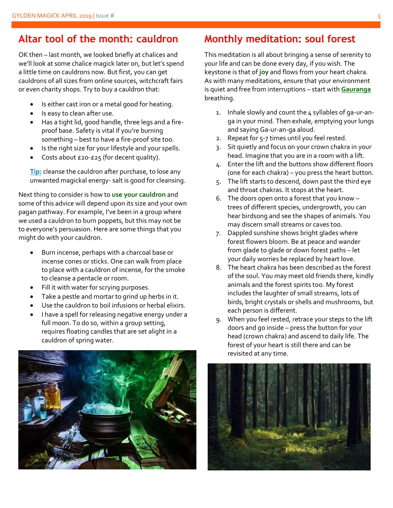### **Altar tool of the month: cauldron**

OK then – last month, we looked briefly at chalices and we'll look at some chalice magick later on, but let's spend a little time on cauldrons now. But first, you can get cauldrons of all sizes from online sources, witchcraft fairs or even charity shops. Try to buy a cauldron that:

- Is either cast iron or a metal good for heating.
- Is easy to clean after use.
- Has a tight lid, good handle, three legs and a fireproof base. Safety is vital if you're burning something – best to have a fire-proof site too.
- Is the right size for your lifestyle and your spells.
- Costs about £20-£25 (for decent quality).

**Tip:** cleanse the cauldron after purchase, to lose any unwanted magickal energy- salt is good for cleansing.

Next thing to consider is how to **use your cauldron** and some of this advice will depend upon its size and your own pagan pathway. For example, I've been in a group where we used a cauldron to burn poppets, but this may not be to everyone's persuasion. Here are some things that you might do with your cauldron.

- Burn incense, perhaps with a charcoal base or incense cones or sticks. One can walk from place to place with a cauldron of incense, for the smoke to cleanse a pentacle or room.
- Fill it with water for scrying purposes.
- Take a pestle and mortar to grind up herbs in it.
- Use the cauldron to boil infusions or herbal elixirs.
- I have a spell for releasing negative energy under a full moon. To do so, within a group setting, requires floating candles that are set alight in a cauldron of spring water.



### **Monthly meditation: soul forest**

This meditation is all about bringing a sense of serenity to your life and can be done every day, if you wish. The keystone is that of **joy** and flows from your heart chakra. As with many meditations, ensure that your environment is quiet and free from interruptions – start with **Gauranga**  breathing.

- 1. Inhale slowly and count the 4 syllables of ga-ur-anga in your mind. Then exhale, emptying your lungs and saying Ga-ur-an-ga aloud.
- 2. Repeat for 5-7 times until you feel rested.
- 3. Sit quietly and focus on your crown chakra in your head. Imagine that you are in a room with a lift.
- 4. Enter the lift and the buttons show different floors (one for each chakra) – you press the heart button.
- 5. The lift starts to descend, down past the third eye and throat chakras. It stops at the heart.
- 6. The doors open onto a forest that you know trees of different species, undergrowth, you can hear birdsong and see the shapes of animals. You may discern small streams or caves too.
- 7. Dappled sunshine shows bright glades where forest flowers bloom. Be at peace and wander from glade to glade or down forest paths – let your daily worries be replaced by heart love.
- 8. The heart chakra has been described as the forest of the soul. You may meet old friends there, kindly animals and the forest spirits too. My forest includes the laughter of small streams, lots of birds, bright crystals or shells and mushrooms, but each person is different.
- 9. When you feel rested, retrace your steps to the lift doors and go inside – press the button for your head (crown chakra) and ascend to daily life. The forest of your heart is still there and can be revisited at any time.

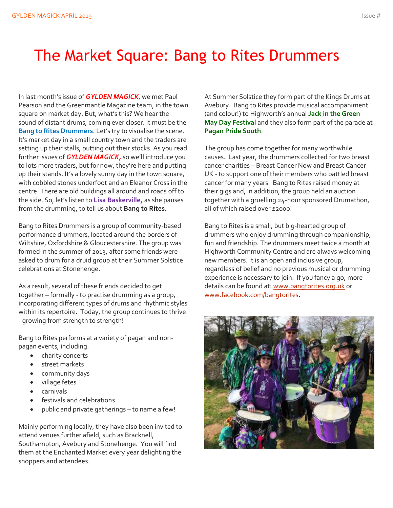## The Market Square: Bang to Rites Drummers

In last month's issue of *GYLDEN MAGICK*, we met Paul Pearson and the Greenmantle Magazine team, in the town square on market day. But, what's this? We hear the sound of distant drums, coming ever closer. It must be the **Bang to Rites Drummers**. Let's try to visualise the scene. It's market day in a small country town and the traders are setting up their stalls, putting out their stocks. As you read further issues of *GYLDEN MAGICK,* so we'll introduce you to lots more traders, but for now, they're here and putting up their stands. It's a lovely sunny day in the town square, with cobbled stones underfoot and an Eleanor Cross in the centre. There are old buildings all around and roads off to the side. So, let's listen to **Lisa Baskerville,** as she pauses from the drumming, to tell us about **Bang to Rites**.

Bang to Rites Drummers is a group of community-based performance drummers, located around the borders of Wiltshire, Oxfordshire & Gloucestershire. The group was formed in the summer of 2013, after some friends were asked to drum for a druid group at their Summer Solstice celebrations at Stonehenge.

As a result, several of these friends decided to get together – formally - to practise drumming as a group, incorporating different types of drums and rhythmic styles within its repertoire. Today, the group continues to thrive - growing from strength to strength!

Bang to Rites performs at a variety of pagan and nonpagan events, including:

- charity concerts
- street markets
- community days
- village fetes
- carnivals
- festivals and celebrations
- public and private gatherings to name a few!

Mainly performing locally, they have also been invited to attend venues further afield, such as Bracknell, Southampton, Avebury and Stonehenge. You will find them at the Enchanted Market every year delighting the shoppers and attendees.

At Summer Solstice they form part of the Kings Drums at Avebury. Bang to Rites provide musical accompaniment (and colour!) to Highworth's annual **Jack in the Green May Day Festival** and they also form part of the parade at **Pagan Pride South**.

The group has come together for many worthwhile causes. Last year, the drummers collected for two breast cancer charities – Breast Cancer Now and Breast Cancer UK - to support one of their members who battled breast cancer for many years. Bang to Rites raised money at their gigs and, in addition, the group held an auction together with a gruelling 24-hour sponsored Drumathon, all of which raised over £2000!

Bang to Rites is a small, but big-hearted group of drummers who enjoy drumming through companionship, fun and friendship. The drummers meet twice a month at Highworth Community Centre and are always welcoming new members. It is an open and inclusive group, regardless of belief and no previous musical or drumming experience is necessary to join. If you fancy a go, more details can be found at: [www.bangtorites.org.uk](http://www.bangtorites.org.uk/) or [www.facebook.com/bangtorites.](http://www.facebook.com/bangtorites)

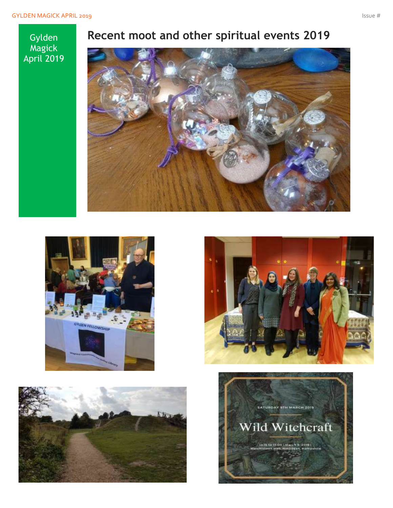#### Gylden Magick April 2019

## **Recent moot and other spiritual events 2019**









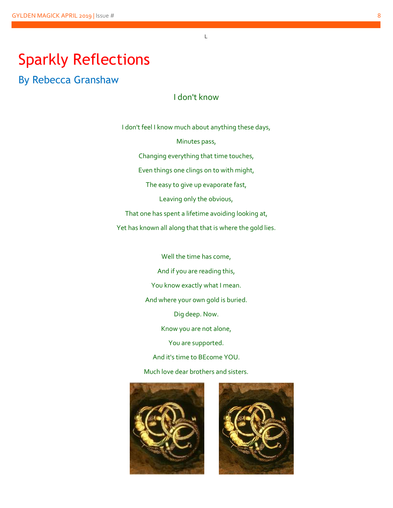## Sparkly Reflections

By Rebecca Granshaw

I don't know

L

I don't feel I know much about anything these days, Minutes pass, Changing everything that time touches, Even things one clings on to with might, The easy to give up evaporate fast, Leaving only the obvious, That one has spent a lifetime avoiding looking at, Yet has known all along that that is where the gold lies.

> Well the time has come, And if you are reading this, You know exactly what I mean. And where your own gold is buried. Dig deep. Now. Know you are not alone, You are supported. And it's time to BEcome YOU.

Much love dear brothers and sisters.



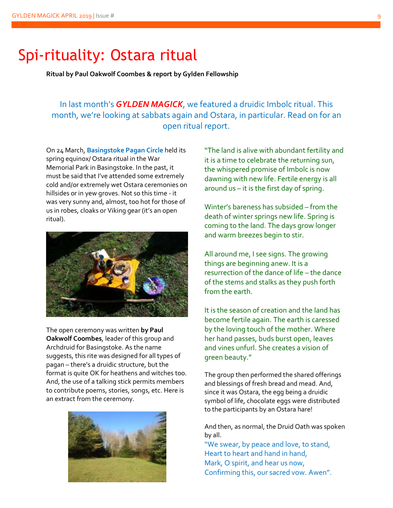### Spi-rituality: Ostara ritual

**Ritual by Paul Oakwolf Coombes & report by Gylden Fellowship**

#### In last month's *GYLDEN MAGICK*, we featured a druidic Imbolc ritual. This month, we're looking at sabbats again and Ostara, in particular. Read on for an open ritual report.

On 24 March, **Basingstoke Pagan Circle** held its spring equinox/ Ostara ritual in the War Memorial Park in Basingstoke. In the past, it must be said that I've attended some extremely cold and/or extremely wet Ostara ceremonies on hillsides or in yew groves. Not so this time - it was very sunny and, almost, too hot for those of us in robes, cloaks or Viking gear (it's an open ritual).



The open ceremony was written **by Paul Oakwolf Coombes**, leader of this group and Archdruid for Basingstoke. As the name suggests, this rite was designed for all types of pagan – there's a druidic structure, but the format is quite OK for heathens and witches too. And, the use of a talking stick permits members to contribute poems, stories, songs, etc. Here is an extract from the ceremony.



"The land is alive with abundant fertility and it is a time to celebrate the returning sun, the whispered promise of Imbolc is now dawning with new life. Fertile energy is all around us – it is the first day of spring.

Winter's bareness has subsided – from the death of winter springs new life. Spring is coming to the land. The days grow longer and warm breezes begin to stir.

All around me, I see signs. The growing things are beginning anew. It is a resurrection of the dance of life – the dance of the stems and stalks as they push forth from the earth

It is the season of creation and the land has become fertile again. The earth is caressed by the loving touch of the mother. Where her hand passes, buds burst open, leaves and vines unfurl. She creates a vision of green beauty."

The group then performed the shared offerings and blessings of fresh bread and mead. And, since it was Ostara, the egg being a druidic symbol of life, chocolate eggs were distributed to the participants by an Ostara hare!

And then, as normal, the Druid Oath was spoken by all.

"We swear, by peace and love, to stand, Heart to heart and hand in hand, Mark, O spirit, and hear us now, Confirming this, our sacred vow. Awen".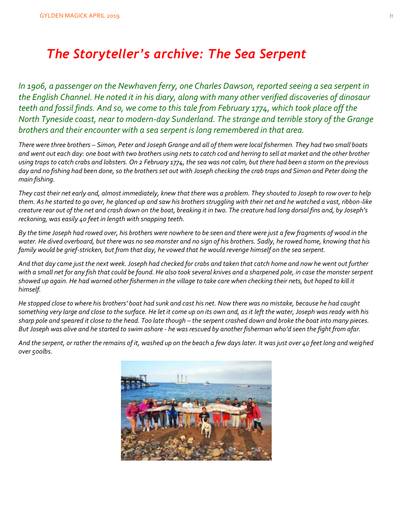## *The Storyteller's archive: The Sea Serpent*

*In 1906, a passenger on the Newhaven ferry, one Charles Dawson, reported seeing a sea serpent in the English Channel. He noted it in his diary, along with many other verified discoveries of dinosaur teeth and fossil finds. And so, we come to this tale from February 1774, which took place off the North Tyneside coast, near to modern-day Sunderland. The strange and terrible story of the Grange brothers and their encounter with a sea serpent is long remembered in that area.*

*There were three brothers – Simon, Peter and Joseph Grange and all of them were local fishermen. They had two small boats and went out each day: one boat with two brothers using nets to catch cod and herring to sell at market and the other brother using traps to catch crabs and lobsters. On 2 February 1774, the sea was not calm, but there had been a storm on the previous day and no fishing had been done, so the brothers set out with Joseph checking the crab traps and Simon and Peter doing the main fishing.*

*They cast their net early and, almost immediately, knew that there was a problem. They shouted to Joseph to row over to help them. As he started to go over, he glanced up and saw his brothers struggling with their net and he watched a vast, ribbon-like creature rear out of the net and crash down on the boat, breaking it in two. The creature had long dorsal fins and, by Joseph's reckoning, was easily 40 feet in length with snapping teeth.*

*By the time Joseph had rowed over, his brothers were nowhere to be seen and there were just a few fragments of wood in the water. He dived overboard, but there was no sea monster and no sign of his brothers. Sadly, he rowed home, knowing that his family would be grief-stricken, but from that day, he vowed that he would revenge himself on the sea serpent.*

*And that day came just the next week. Joseph had checked for crabs and taken that catch home and now he went out further with a small net for any fish that could be found. He also took several knives and a sharpened pole, in case the monster serpent showed up again. He had warned other fishermen in the village to take care when checking their nets, but hoped to kill it himself.*

*He stopped close to where his brothers' boat had sunk and cast his net. Now there was no mistake, because he had caught something very large and close to the surface. He let it come up on its own and, as it left the water, Joseph was ready with his sharp pole and speared it close to the head. Too late though – the serpent crashed down and broke the boat into many pieces. But Joseph was alive and he started to swim ashore - he was rescued by another fisherman who'd seen the fight from afar.*

*And the serpent, or rather the remains of it, washed up on the beach a few days later. It was just over 40 feet long and weighed over 500lbs.*

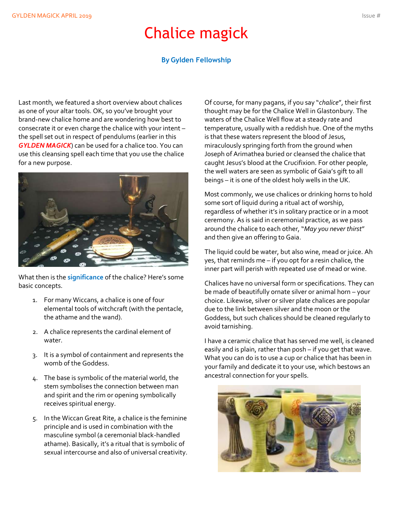## Chalice magick

#### **By Gylden Fellowship**

Last month, we featured a short overview about chalices as one of your altar tools. OK, so you've brought your brand-new chalice home and are wondering how best to consecrate it or even charge the chalice with your intent – the spell set out in respect of pendulums (earlier in this *GYLDEN MAGICK*) can be used for a chalice too. You can use this cleansing spell each time that you use the chalice for a new purpose.



What then is the **significance** of the chalice? Here's some basic concepts.

- 1. For many Wiccans, a chalice is one of four elemental tools of witchcraft (with the pentacle, the athame and the wand).
- 2. A chalice represents the cardinal element of water.
- 3. It is a symbol of containment and represents the womb of the Goddess.
- 4. The base is symbolic of the material world, the stem symbolises the connection between man and spirit and the rim or opening symbolically receives spiritual energy.
- 5. In the Wiccan Great Rite, a chalice is the feminine principle and is used in combination with the masculine symbol (a ceremonial black-handled athame). Basically, it's a ritual that is symbolic of sexual intercourse and also of universal creativity.

Of course, for many pagans, if you say "*chalice*", their first thought may be for the Chalice Well in Glastonbury. The waters of the Chalice Well flow at a steady rate and temperature, usually with a reddish hue. One of the myths is that these waters represent the blood of Jesus, miraculously springing forth from the ground when Joseph of Arimathea buried or cleansed the chalice that caught Jesus's blood at the Crucifixion. For other people, the well waters are seen as symbolic of Gaia's gift to all beings – it is one of the oldest holy wells in the UK.

Most commonly, we use chalices or drinking horns to hold some sort of liquid during a ritual act of worship, regardless of whether it's in solitary practice or in a moot ceremony. As is said in ceremonial practice, as we pass around the chalice to each other, "*May you never thirst*" and then give an offering to Gaia.

The liquid could be water, but also wine, mead or juice. Ah yes, that reminds me – if you opt for a resin chalice, the inner part will perish with repeated use of mead or wine.

Chalices have no universal form or specifications. They can be made of beautifully ornate silver or animal horn – your choice. Likewise, silver or silver plate chalices are popular due to the link between silver and the moon or the Goddess, but such chalices should be cleaned regularly to avoid tarnishing.

I have a ceramic chalice that has served me well, is cleaned easily and is plain, rather than posh – if you get that wave. What you can do is to use a cup or chalice that has been in your family and dedicate it to your use, which bestows an ancestral connection for your spells.

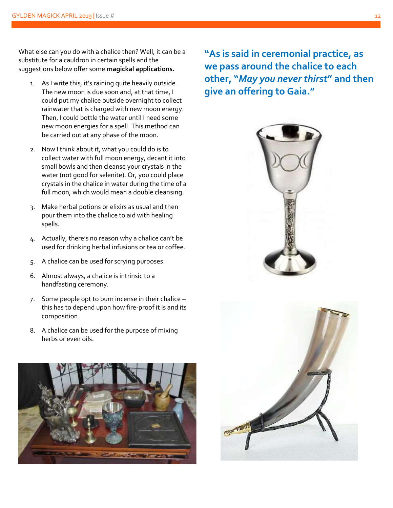What else can you do with a chalice then? Well, it can be a substitute for a cauldron in certain spells and the suggestions below offer some **magickal applications.**

- 1. As I write this, it's raining quite heavily outside. The new moon is due soon and, at that time, I could put my chalice outside overnight to collect rainwater that is charged with new moon energy. Then, I could bottle the water until I need some new moon energies for a spell. This method can be carried out at any phase of the moon.
- 2. Now I think about it, what you could do is to collect water with full moon energy, decant it into small bowls and then cleanse your crystals in the water (not good for selenite). Or, you could place crystals in the chalice in water during the time of a full moon, which would mean a double cleansing.
- 3. Make herbal potions or elixirs as usual and then pour them into the chalice to aid with healing spells.
- 4. Actually, there's no reason why a chalice can't be used for drinking herbal infusions or tea or coffee.
- 5. A chalice can be used for scrying purposes.
- 6. Almost always, a chalice is intrinsic to a handfasting ceremony.
- 7. Some people opt to burn incense in their chalice this has to depend upon how fire-proof it is and its composition.
- 8. A chalice can be used for the purpose of mixing herbs or even oils.



**"As is said in ceremonial practice, as we pass around the chalice to each other, "***May you never thirst***" and then give an offering to Gaia."**



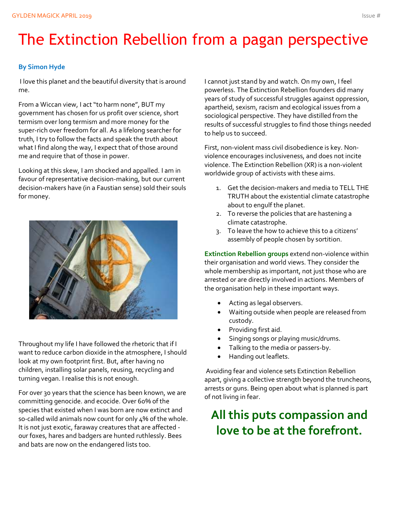# The Extinction Rebellion from a pagan perspective

#### **By Simon Hyde**

I love this planet and the beautiful diversity that is around me.

From a Wiccan view, I act "to harm none", BUT my government has chosen for us profit over science, short termism over long termism and more money for the super-rich over freedom for all. As a lifelong searcher for truth, I try to follow the facts and speak the truth about what I find along the way, I expect that of those around me and require that of those in power.

Looking at this skew, I am shocked and appalled. I am in favour of representative decision-making, but our current decision-makers have (in a Faustian sense) sold their souls for money.



Throughout my life I have followed the rhetoric that if I want to reduce carbon dioxide in the atmosphere, I should look at my own footprint first. But, after having no children, installing solar panels, reusing, recycling and turning vegan. I realise this is not enough.

For over 30 years that the science has been known, we are committing genocide. and ecocide. Over 60% of the species that existed when I was born are now extinct and so-called wild animals now count for only 4% of the whole. It is not just exotic, faraway creatures that are affected our foxes, hares and badgers are hunted ruthlessly. Bees and bats are now on the endangered lists too.

I cannot just stand by and watch. On my own, I feel powerless. The Extinction Rebellion founders did many years of study of successful struggles against oppression, apartheid, sexism, racism and ecological issues from a sociological perspective. They have distilled from the results of successful struggles to find those things needed to help us to succeed.

First, non-violent mass civil disobedience is key. Nonviolence encourages inclusiveness, and does not incite violence. The Extinction Rebellion (XR) is a non-violent worldwide group of activists with these aims.

- 1. Get the decision-makers and media to TELL THE TRUTH about the existential climate catastrophe about to engulf the planet.
- 2. To reverse the policies that are hastening a climate catastrophe.
- 3. To leave the how to achieve this to a citizens' assembly of people chosen by sortition.

**Extinction Rebellion groups** extend non-violence within their organisation and world views. They consider the whole membership as important, not just those who are arrested or are directly involved in actions. Members of the organisation help in these important ways.

- Acting as legal observers.
- Waiting outside when people are released from custody.
- Providing first aid.
- Singing songs or playing music/drums.
- Talking to the media or passers-by.
- Handing out leaflets.

Avoiding fear and violence sets Extinction Rebellion apart, giving a collective strength beyond the truncheons, arrests or guns. Being open about what is planned is part of not living in fear.

## **All this puts compassion and love to be at the forefront.**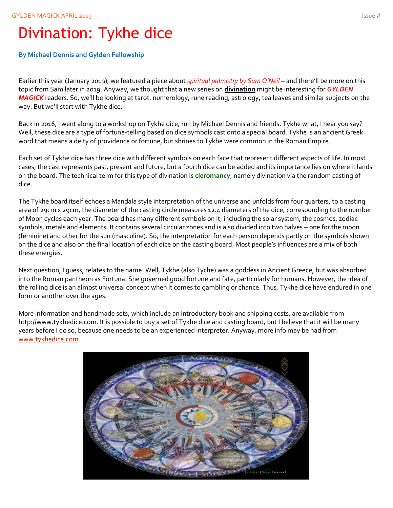# Divination: Tykhe dice

#### **By Michael Dennis and Gylden Fellowship**

Earlier this year (January 2019), we featured a piece about *spiritual palmistry by Sam O'Neil* – and there'll be more on this topic from Sam later in 2019. Anyway, we thought that a new series on **divination** might be interesting for *GYLDEN MAGICK* readers. So, we'll be looking at tarot, numerology, rune reading, astrology, tea leaves and similar subjects on the way. But we'll start with Tykhe dice.

Back in 2016, I went along to a workshop on Tykhe dice, run by Michael Dennis and friends. Tykhe what, I hear you say? Well, these dice are a type of fortune-telling based on dice symbols cast onto a special board. Tykhe is an ancient Greek word that means a deity of providence or fortune, but shrines to Tykhe were common in the Roman Empire.

Each set of Tykhe dice has three dice with different symbols on each face that represent different aspects of life. In most cases, the cast represents past, present and future, but a fourth dice can be added and its importance lies on where it lands on the board. The technical term for this type of divination is **cleromancy**, namely divination via the random casting of dice.

The Tykhe board itself echoes a Mandala style interpretation of the universe and unfolds from four quarters, to a casting area of 29cm x 29cm, the diameter of the casting circle measures 12.4 diameters of the dice, corresponding to the number of Moon cycles each year. The board has many different symbols on it, including the solar system, the cosmos, zodiac symbols, metals and elements. It contains several circular zones and is also divided into two halves – one for the moon (feminine) and other for the sun (masculine). So, the interpretation for each person depends partly on the symbols shown on the dice and also on the final location of each dice on the casting board. Most people's influences are a mix of both these energies.

Next question, I guess, relates to the name. Well, Tykhe (also Tyche) was a goddess in Ancient Greece, but was absorbed into the Roman pantheon as Fortuna. She governed good fortune and fate, particularly for humans. However, the idea of the rolling dice is an almost universal concept when it comes to gambling or chance. Thus, Tykhe dice have endured in one form or another over the ages.

More information and handmade sets, which include an introductory book and shipping costs, are available from http://www.tykhedice.com. It is possible to buy a set of Tykhe dice and casting board, but I believe that it will be many years before I do so, because one needs to be an experienced interpreter. Anyway, more info may be had from [www.tykhedice.com.](http://www.tykhedice.com/)

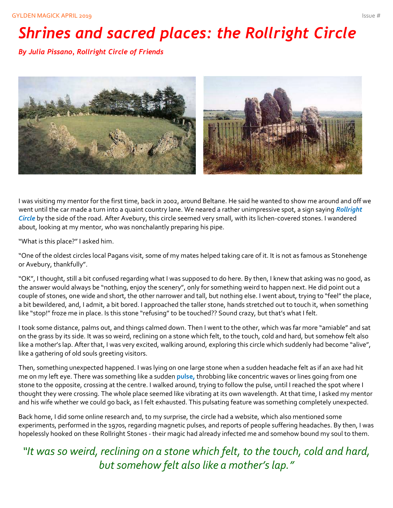# *Shrines and sacred places: the Rollright Circle*

*By Julia Pissano, Rollright Circle of Friends*



I was visiting my mentor for the first time, back in 2002, around Beltane. He said he wanted to show me around and off we went until the car made a turn into a quaint country lane. We neared a rather unimpressive spot, a sign saying *Rollright Circle* by the side of the road. After Avebury, this circle seemed very small, with its lichen-covered stones. I wandered about, looking at my mentor, who was nonchalantly preparing his pipe.

"What is this place?" I asked him.

"One of the oldest circles local Pagans visit, some of my mates helped taking care of it. It is not as famous as Stonehenge or Avebury, thankfully".

"OK", I thought, still a bit confused regarding what I was supposed to do here. By then, I knew that asking was no good, as the answer would always be "nothing, enjoy the scenery", only for something weird to happen next. He did point out a couple of stones, one wide and short, the other narrower and tall, but nothing else. I went about, trying to "feel" the place, a bit bewildered, and, I admit, a bit bored. I approached the taller stone, hands stretched out to touch it, when something like "stop!" froze me in place. Is this stone "refusing" to be touched?? Sound crazy, but that's what I felt.

I took some distance, palms out, and things calmed down. Then I went to the other, which was far more "amiable" and sat on the grass by its side. It was so weird, reclining on a stone which felt, to the touch, cold and hard, but somehow felt also like a mother's lap. After that, I was very excited, walking around, exploring this circle which suddenly had become "alive", like a gathering of old souls greeting visitors.

Then, something unexpected happened. I was lying on one large stone when a sudden headache felt as if an axe had hit me on my left eye. There was something like a sudden **pulse,** throbbing like concentric waves or lines going from one stone to the opposite, crossing at the centre. I walked around, trying to follow the pulse, until I reached the spot where I thought they were crossing. The whole place seemed like vibrating at its own wavelength. At that time, I asked my mentor and his wife whether we could go back, as I felt exhausted. This pulsating feature was something completely unexpected.

Back home, I did some online research and, to my surprise, the circle had a website, which also mentioned some experiments, performed in the 1970s, regarding magnetic pulses, and reports of people suffering headaches. By then, I was hopelessly hooked on these Rollright Stones - their magic had already infected me and somehow bound my soul to them.

### *"It was so weird, reclining on a stone which felt, to the touch, cold and hard, but somehow felt also like a mother's lap."*